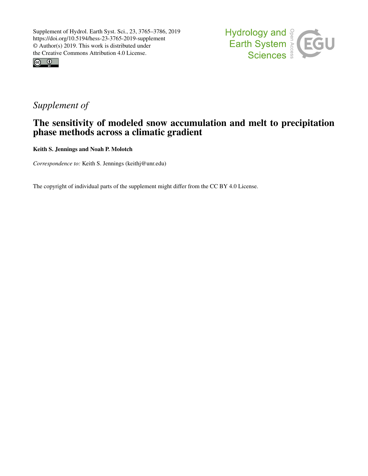



# *Supplement of*

## The sensitivity of modeled snow accumulation and melt to precipitation phase methods across a climatic gradient

Keith S. Jennings and Noah P. Molotch

*Correspondence to:* Keith S. Jennings (keithj@unr.edu)

The copyright of individual parts of the supplement might differ from the CC BY 4.0 License.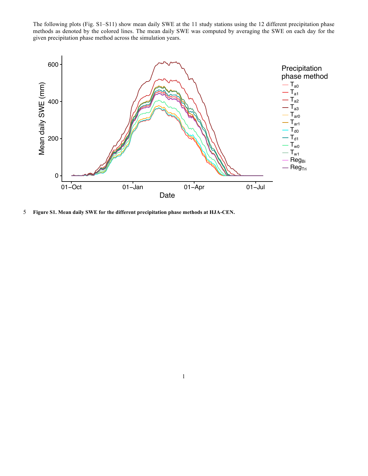The following plots (Fig. S1–S11) show mean daily SWE at the 11 study stations using the 12 different precipitation phase methods as denoted by the colored lines. The mean daily SWE was computed by averaging the SWE on each day for the given precipitation phase method across the simulation years.



5 **Figure S1. Mean daily SWE for the different precipitation phase methods at HJA-CEN.**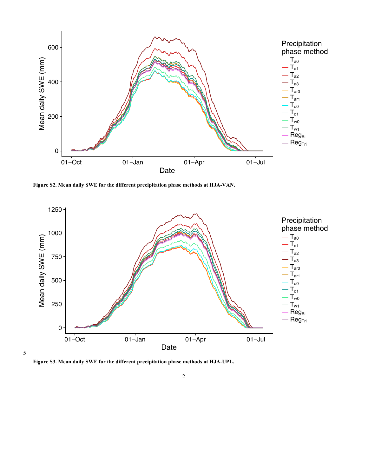

**Figure S2. Mean daily SWE for the different precipitation phase methods at HJA-VAN.**



**Figure S3. Mean daily SWE for the different precipitation phase methods at HJA-UPL.**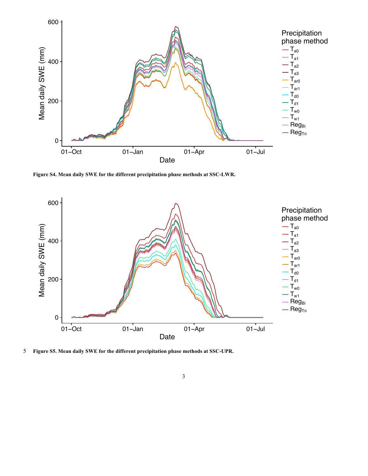

**Figure S4. Mean daily SWE for the different precipitation phase methods at SSC-LWR.**



5 **Figure S5. Mean daily SWE for the different precipitation phase methods at SSC-UPR.**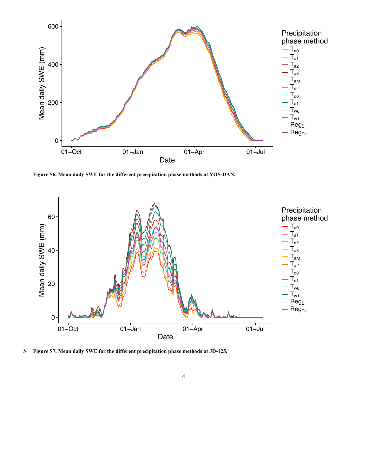

**Figure S6. Mean daily SWE for the different precipitation phase methods at YOS-DAN.**



5 **Figure S7. Mean daily SWE for the different precipitation phase methods at JD-125.**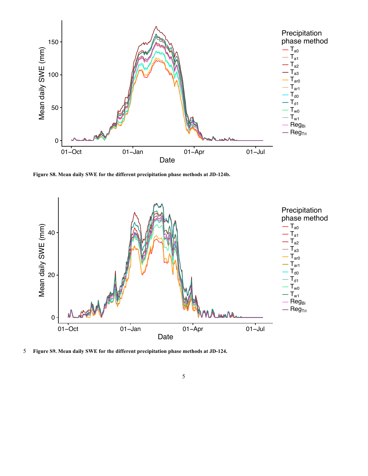

**Figure S8. Mean daily SWE for the different precipitation phase methods at JD-124b.**



5 **Figure S9. Mean daily SWE for the different precipitation phase methods at JD-124.**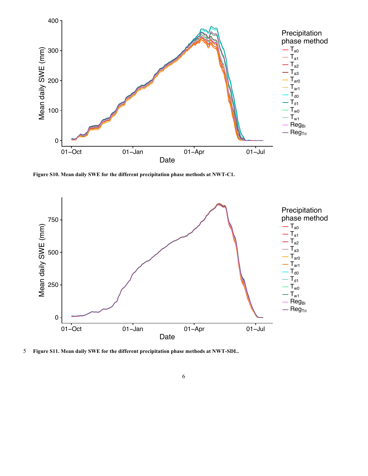

**Figure S10. Mean daily SWE for the different precipitation phase methods at NWT-C1.**



5 **Figure S11. Mean daily SWE for the different precipitation phase methods at NWT-SDL.**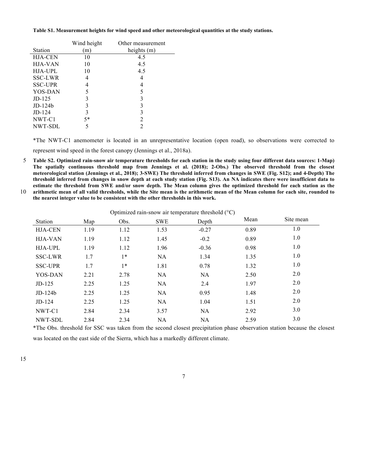| Table S1. Measurement heights for wind speed and other meteorological quantities at the study stations. |  |  |
|---------------------------------------------------------------------------------------------------------|--|--|
|                                                                                                         |  |  |

|                | Wind height | Other measurement |  |  |
|----------------|-------------|-------------------|--|--|
| <b>Station</b> | m)          | heights (m)       |  |  |
| <b>HJA-CEN</b> | 10          | 4.5               |  |  |
| <b>HJA-VAN</b> | 10          | 4.5               |  |  |
| <b>HJA-UPL</b> | 10          | 4.5               |  |  |
| SSC-LWR        | 4           | 4                 |  |  |
| <b>SSC-UPR</b> | 4           | 4                 |  |  |
| YOS-DAN        | 5           | 5                 |  |  |
| $JD-125$       | 3           | 3                 |  |  |
| $JD-124b$      | 3           | 3                 |  |  |
| $JD-124$       | 3           | 3                 |  |  |
| NWT-C1         | $5*$        | 2                 |  |  |
| NWT-SDL        | 5           | 2                 |  |  |

\*The NWT-C1 anemometer is located in an unrepresentative location (open road), so observations were corrected to represent wind speed in the forest canopy (Jennings et al., 2018a).

5 **Table S2. Optimized rain-snow air temperature thresholds for each station in the study using four different data sources: 1-Map) The spatially continuous threshold map from Jennings et al. (2018); 2-Obs.) The observed threshold from the closest meteorological station (Jennings et al., 2018); 3-SWE) The threshold inferred from changes in SWE (Fig. S12); and 4-Depth) The threshold inferred from changes in snow depth at each study station (Fig. S13). An NA indicates there were insufficient data to estimate the threshold from SWE and/or snow depth. The Mean column gives the optimized threshold for each station as the**  10 **arithmetic mean of all valid thresholds, while the Site mean is the arithmetic mean of the Mean column for each site, rounded to** 

**the nearest integer value to be consistent with the other thresholds in this work.** 

| <b>Station</b> | Map  | Obs. | <b>SWE</b> | Depth     | Mean | Site mean |
|----------------|------|------|------------|-----------|------|-----------|
| <b>HJA-CEN</b> | 1.19 | 1.12 | 1.53       | $-0.27$   | 0.89 | 1.0       |
| <b>HJA-VAN</b> | 1.19 | 1.12 | 1.45       | $-0.2$    | 0.89 | 1.0       |
| HJA-UPL        | 1.19 | 1.12 | 1.96       | $-0.36$   | 0.98 | 1.0       |
| <b>SSC-LWR</b> | 1.7  | $1*$ | NA         | 1.34      | 1.35 | 1.0       |
| <b>SSC-UPR</b> | 1.7  | $1*$ | 1.81       | 0.78      | 1.32 | 1.0       |
| YOS-DAN        | 2.21 | 2.78 | NA         | <b>NA</b> | 2.50 | 2.0       |
| $JD-125$       | 2.25 | 1.25 | NA         | 2.4       | 1.97 | 2.0       |
| $JD-124b$      | 2.25 | 1.25 | <b>NA</b>  | 0.95      | 1.48 | 2.0       |
| $JD-124$       | 2.25 | 1.25 | <b>NA</b>  | 1.04      | 1.51 | 2.0       |
| NWT-C1         | 2.84 | 2.34 | 3.57       | NA        | 2.92 | 3.0       |
| NWT-SDL        | 2.84 | 2.34 | <b>NA</b>  | <b>NA</b> | 2.59 | 3.0       |

\*The Obs. threshold for SSC was taken from the second closest precipitation phase observation station because the closest was located on the east side of the Sierra, which has a markedly different climate.